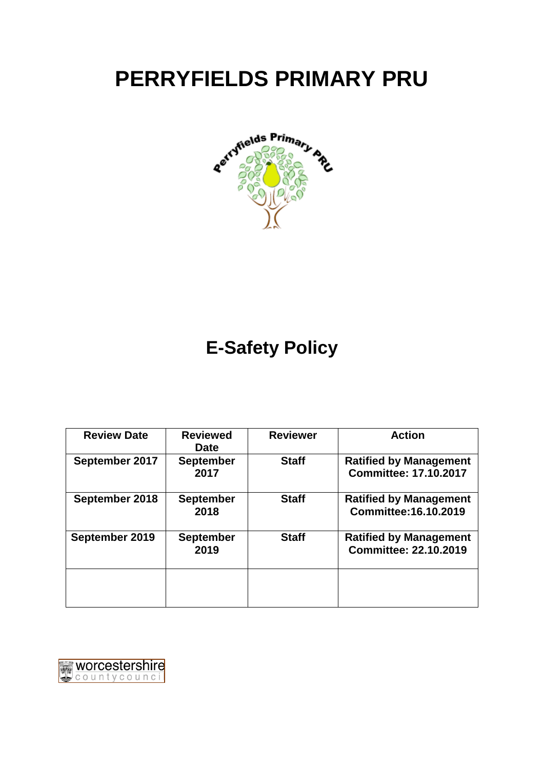# **PERRYFIELDS PRIMARY PRU**



# **E-Safety Policy**

| <b>Review Date</b> | <b>Reviewed</b><br><b>Date</b> | <b>Reviewer</b> | <b>Action</b>                                                 |
|--------------------|--------------------------------|-----------------|---------------------------------------------------------------|
| September 2017     | <b>September</b><br>2017       | <b>Staff</b>    | <b>Ratified by Management</b><br><b>Committee: 17.10.2017</b> |
| September 2018     | <b>September</b><br>2018       | <b>Staff</b>    | <b>Ratified by Management</b><br>Committee: 16.10.2019        |
| September 2019     | <b>September</b><br>2019       | <b>Staff</b>    | <b>Ratified by Management</b><br><b>Committee: 22.10.2019</b> |
|                    |                                |                 |                                                               |

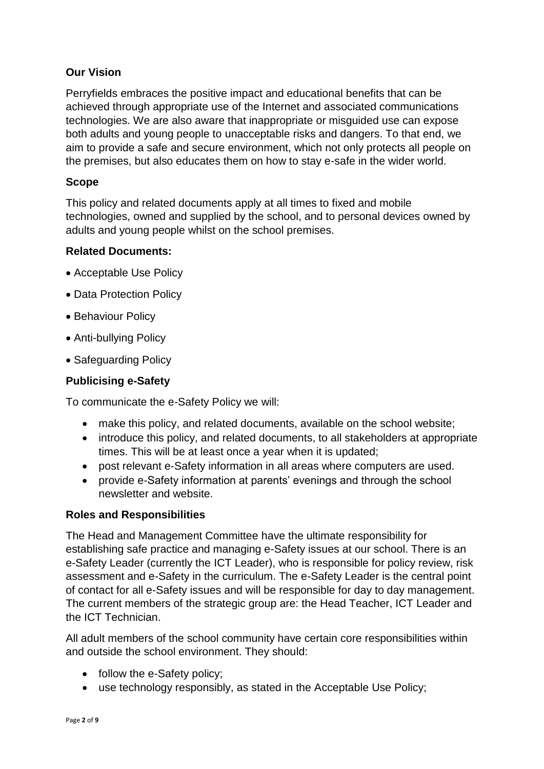# **Our Vision**

Perryfields embraces the positive impact and educational benefits that can be achieved through appropriate use of the Internet and associated communications technologies. We are also aware that inappropriate or misguided use can expose both adults and young people to unacceptable risks and dangers. To that end, we aim to provide a safe and secure environment, which not only protects all people on the premises, but also educates them on how to stay e-safe in the wider world.

### **Scope**

This policy and related documents apply at all times to fixed and mobile technologies, owned and supplied by the school, and to personal devices owned by adults and young people whilst on the school premises.

#### **Related Documents:**

- Acceptable Use Policy
- Data Protection Policy
- Behaviour Policy
- Anti-bullying Policy
- Safeguarding Policy

#### **Publicising e-Safety**

To communicate the e-Safety Policy we will:

- make this policy, and related documents, available on the school website;
- introduce this policy, and related documents, to all stakeholders at appropriate times. This will be at least once a year when it is updated;
- post relevant e-Safety information in all areas where computers are used.
- provide e-Safety information at parents' evenings and through the school newsletter and website.

#### **Roles and Responsibilities**

The Head and Management Committee have the ultimate responsibility for establishing safe practice and managing e-Safety issues at our school. There is an e-Safety Leader (currently the ICT Leader), who is responsible for policy review, risk assessment and e-Safety in the curriculum. The e-Safety Leader is the central point of contact for all e-Safety issues and will be responsible for day to day management. The current members of the strategic group are: the Head Teacher, ICT Leader and the ICT Technician.

All adult members of the school community have certain core responsibilities within and outside the school environment. They should:

- follow the e-Safety policy;
- use technology responsibly, as stated in the Acceptable Use Policy;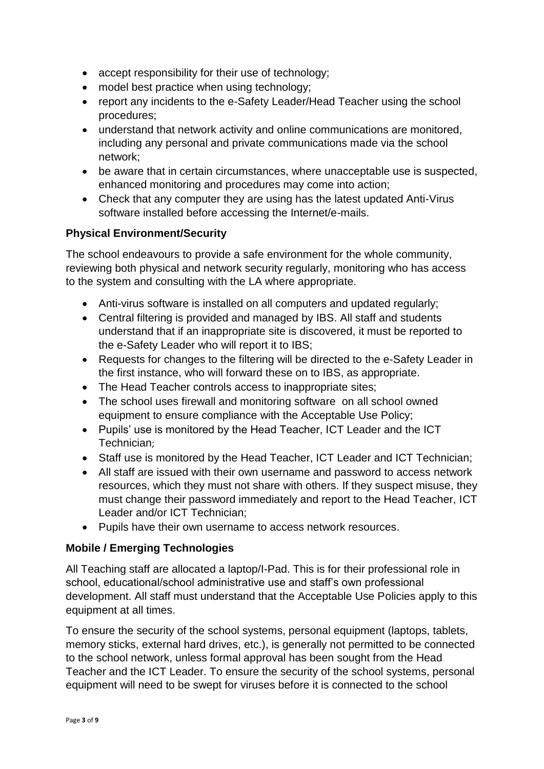- accept responsibility for their use of technology;
- model best practice when using technology;
- report any incidents to the e-Safety Leader/Head Teacher using the school procedures;
- understand that network activity and online communications are monitored, including any personal and private communications made via the school network;
- be aware that in certain circumstances, where unacceptable use is suspected, enhanced monitoring and procedures may come into action;
- Check that any computer they are using has the latest updated Anti-Virus software installed before accessing the Internet/e-mails.

# **Physical Environment/Security**

The school endeavours to provide a safe environment for the whole community, reviewing both physical and network security regularly, monitoring who has access to the system and consulting with the LA where appropriate.

- Anti-virus software is installed on all computers and updated regularly;
- Central filtering is provided and managed by IBS. All staff and students understand that if an inappropriate site is discovered, it must be reported to the e-Safety Leader who will report it to IBS;
- Requests for changes to the filtering will be directed to the e-Safety Leader in the first instance, who will forward these on to IBS, as appropriate.
- The Head Teacher controls access to inappropriate sites;
- The school uses firewall and monitoring software on all school owned equipment to ensure compliance with the Acceptable Use Policy;
- Pupils' use is monitored by the Head Teacher, ICT Leader and the ICT Technician;
- Staff use is monitored by the Head Teacher, ICT Leader and ICT Technician;
- All staff are issued with their own username and password to access network resources, which they must not share with others. If they suspect misuse, they must change their password immediately and report to the Head Teacher, ICT Leader and/or ICT Technician;
- Pupils have their own username to access network resources.

# **Mobile / Emerging Technologies**

All Teaching staff are allocated a laptop/I-Pad. This is for their professional role in school, educational/school administrative use and staff's own professional development. All staff must understand that the Acceptable Use Policies apply to this equipment at all times.

To ensure the security of the school systems, personal equipment (laptops, tablets, memory sticks, external hard drives, etc.), is generally not permitted to be connected to the school network, unless formal approval has been sought from the Head Teacher and the ICT Leader. To ensure the security of the school systems, personal equipment will need to be swept for viruses before it is connected to the school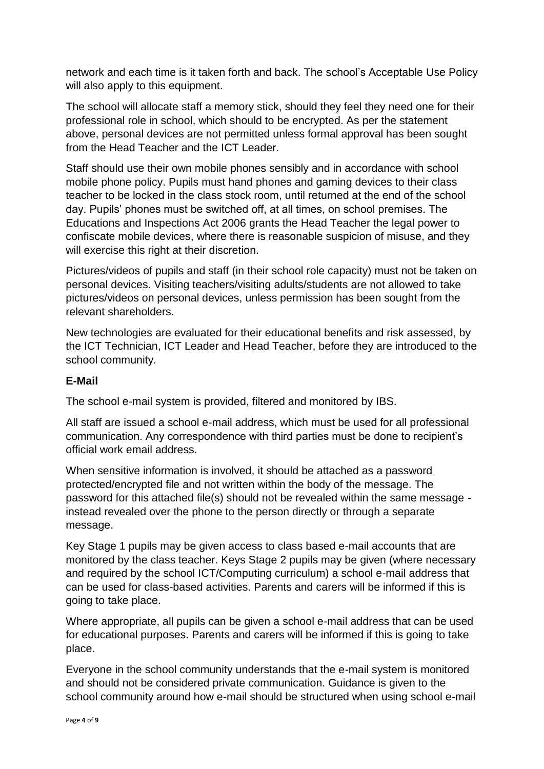network and each time is it taken forth and back. The school's Acceptable Use Policy will also apply to this equipment.

The school will allocate staff a memory stick, should they feel they need one for their professional role in school, which should to be encrypted. As per the statement above, personal devices are not permitted unless formal approval has been sought from the Head Teacher and the ICT Leader.

Staff should use their own mobile phones sensibly and in accordance with school mobile phone policy. Pupils must hand phones and gaming devices to their class teacher to be locked in the class stock room, until returned at the end of the school day. Pupils' phones must be switched off, at all times, on school premises. The Educations and Inspections Act 2006 grants the Head Teacher the legal power to confiscate mobile devices, where there is reasonable suspicion of misuse, and they will exercise this right at their discretion.

Pictures/videos of pupils and staff (in their school role capacity) must not be taken on personal devices. Visiting teachers/visiting adults/students are not allowed to take pictures/videos on personal devices, unless permission has been sought from the relevant shareholders.

New technologies are evaluated for their educational benefits and risk assessed, by the ICT Technician, ICT Leader and Head Teacher, before they are introduced to the school community.

#### **E-Mail**

The school e-mail system is provided, filtered and monitored by IBS.

All staff are issued a school e-mail address, which must be used for all professional communication. Any correspondence with third parties must be done to recipient's official work email address.

When sensitive information is involved, it should be attached as a password protected/encrypted file and not written within the body of the message. The password for this attached file(s) should not be revealed within the same message instead revealed over the phone to the person directly or through a separate message.

Key Stage 1 pupils may be given access to class based e-mail accounts that are monitored by the class teacher. Keys Stage 2 pupils may be given (where necessary and required by the school ICT/Computing curriculum) a school e-mail address that can be used for class-based activities. Parents and carers will be informed if this is going to take place.

Where appropriate, all pupils can be given a school e-mail address that can be used for educational purposes. Parents and carers will be informed if this is going to take place.

Everyone in the school community understands that the e-mail system is monitored and should not be considered private communication. Guidance is given to the school community around how e-mail should be structured when using school e-mail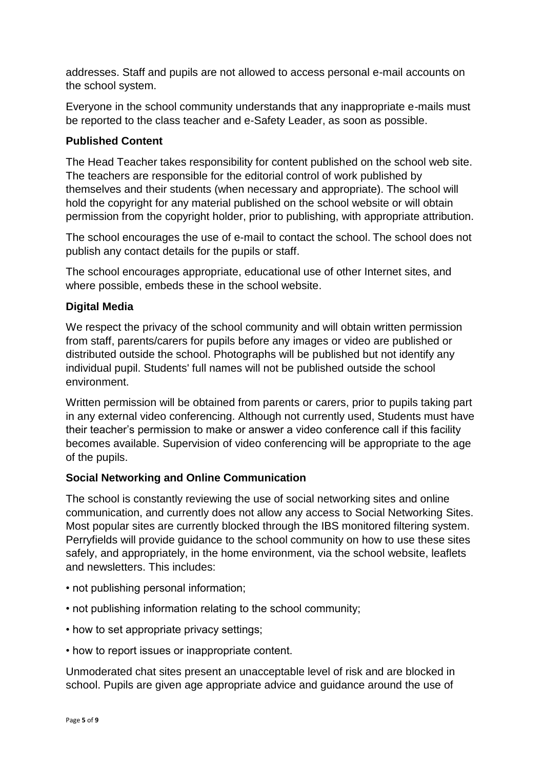addresses. Staff and pupils are not allowed to access personal e-mail accounts on the school system.

Everyone in the school community understands that any inappropriate e-mails must be reported to the class teacher and e-Safety Leader, as soon as possible.

#### **Published Content**

The Head Teacher takes responsibility for content published on the school web site. The teachers are responsible for the editorial control of work published by themselves and their students (when necessary and appropriate). The school will hold the copyright for any material published on the school website or will obtain permission from the copyright holder, prior to publishing, with appropriate attribution.

The school encourages the use of e-mail to contact the school. The school does not publish any contact details for the pupils or staff.

The school encourages appropriate, educational use of other Internet sites, and where possible, embeds these in the school website.

#### **Digital Media**

We respect the privacy of the school community and will obtain written permission from staff, parents/carers for pupils before any images or video are published or distributed outside the school. Photographs will be published but not identify any individual pupil. Students' full names will not be published outside the school environment.

Written permission will be obtained from parents or carers, prior to pupils taking part in any external video conferencing. Although not currently used, Students must have their teacher's permission to make or answer a video conference call if this facility becomes available. Supervision of video conferencing will be appropriate to the age of the pupils.

#### **Social Networking and Online Communication**

The school is constantly reviewing the use of social networking sites and online communication, and currently does not allow any access to Social Networking Sites. Most popular sites are currently blocked through the IBS monitored filtering system. Perryfields will provide guidance to the school community on how to use these sites safely, and appropriately, in the home environment, via the school website, leaflets and newsletters. This includes:

- not publishing personal information;
- not publishing information relating to the school community;
- how to set appropriate privacy settings;
- how to report issues or inappropriate content.

Unmoderated chat sites present an unacceptable level of risk and are blocked in school. Pupils are given age appropriate advice and guidance around the use of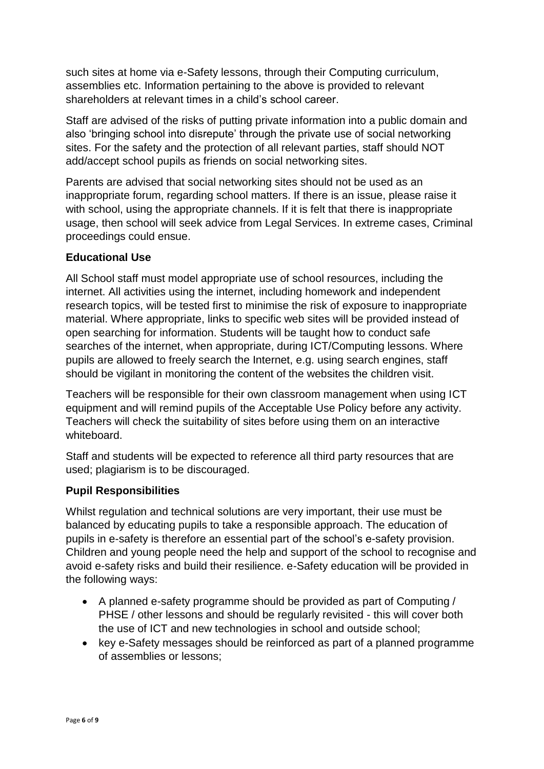such sites at home via e-Safety lessons, through their Computing curriculum, assemblies etc. Information pertaining to the above is provided to relevant shareholders at relevant times in a child's school career.

Staff are advised of the risks of putting private information into a public domain and also 'bringing school into disrepute' through the private use of social networking sites. For the safety and the protection of all relevant parties, staff should NOT add/accept school pupils as friends on social networking sites.

Parents are advised that social networking sites should not be used as an inappropriate forum, regarding school matters. If there is an issue, please raise it with school, using the appropriate channels. If it is felt that there is inappropriate usage, then school will seek advice from Legal Services. In extreme cases, Criminal proceedings could ensue.

#### **Educational Use**

All School staff must model appropriate use of school resources, including the internet. All activities using the internet, including homework and independent research topics, will be tested first to minimise the risk of exposure to inappropriate material. Where appropriate, links to specific web sites will be provided instead of open searching for information. Students will be taught how to conduct safe searches of the internet, when appropriate, during ICT/Computing lessons. Where pupils are allowed to freely search the Internet, e.g. using search engines, staff should be vigilant in monitoring the content of the websites the children visit.

Teachers will be responsible for their own classroom management when using ICT equipment and will remind pupils of the Acceptable Use Policy before any activity. Teachers will check the suitability of sites before using them on an interactive whiteboard.

Staff and students will be expected to reference all third party resources that are used; plagiarism is to be discouraged.

#### **Pupil Responsibilities**

Whilst regulation and technical solutions are very important, their use must be balanced by educating pupils to take a responsible approach. The education of pupils in e-safety is therefore an essential part of the school's e-safety provision. Children and young people need the help and support of the school to recognise and avoid e-safety risks and build their resilience. e-Safety education will be provided in the following ways:

- A planned e-safety programme should be provided as part of Computing / PHSE / other lessons and should be regularly revisited - this will cover both the use of ICT and new technologies in school and outside school;
- key e-Safety messages should be reinforced as part of a planned programme of assemblies or lessons;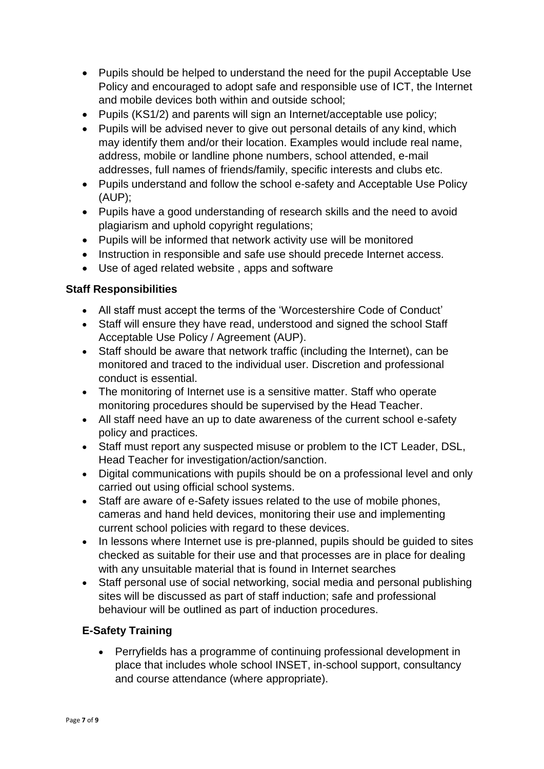- Pupils should be helped to understand the need for the pupil Acceptable Use Policy and encouraged to adopt safe and responsible use of ICT, the Internet and mobile devices both within and outside school;
- Pupils (KS1/2) and parents will sign an Internet/acceptable use policy;
- Pupils will be advised never to give out personal details of any kind, which may identify them and/or their location. Examples would include real name, address, mobile or landline phone numbers, school attended, e-mail addresses, full names of friends/family, specific interests and clubs etc.
- Pupils understand and follow the school e-safety and Acceptable Use Policy (AUP);
- Pupils have a good understanding of research skills and the need to avoid plagiarism and uphold copyright regulations;
- Pupils will be informed that network activity use will be monitored
- Instruction in responsible and safe use should precede Internet access.
- Use of aged related website , apps and software

#### **Staff Responsibilities**

- All staff must accept the terms of the 'Worcestershire Code of Conduct'
- Staff will ensure they have read, understood and signed the school Staff Acceptable Use Policy / Agreement (AUP).
- Staff should be aware that network traffic (including the Internet), can be monitored and traced to the individual user. Discretion and professional conduct is essential.
- The monitoring of Internet use is a sensitive matter. Staff who operate monitoring procedures should be supervised by the Head Teacher.
- All staff need have an up to date awareness of the current school e-safety policy and practices.
- Staff must report any suspected misuse or problem to the ICT Leader, DSL, Head Teacher for investigation/action/sanction.
- Digital communications with pupils should be on a professional level and only carried out using official school systems.
- Staff are aware of e-Safety issues related to the use of mobile phones, cameras and hand held devices, monitoring their use and implementing current school policies with regard to these devices.
- In lessons where Internet use is pre-planned, pupils should be quided to sites checked as suitable for their use and that processes are in place for dealing with any unsuitable material that is found in Internet searches
- Staff personal use of social networking, social media and personal publishing sites will be discussed as part of staff induction; safe and professional behaviour will be outlined as part of induction procedures.

# **E-Safety Training**

 Perryfields has a programme of continuing professional development in place that includes whole school INSET, in-school support, consultancy and course attendance (where appropriate).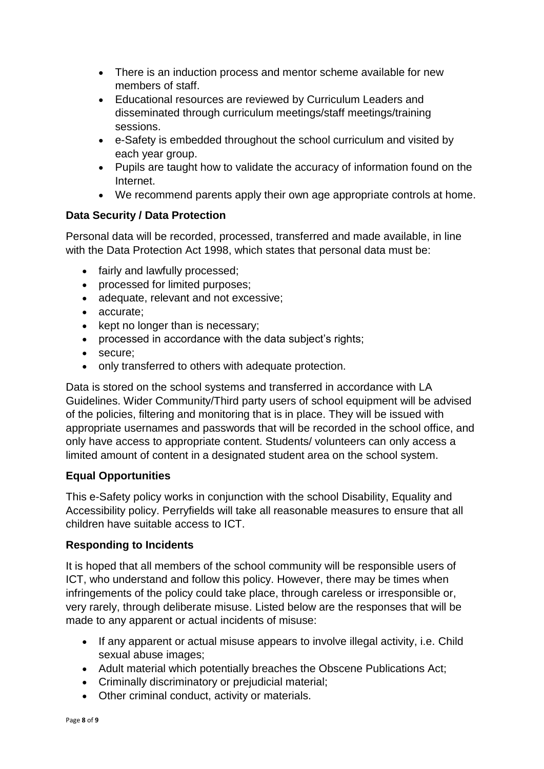- There is an induction process and mentor scheme available for new members of staff.
- Educational resources are reviewed by Curriculum Leaders and disseminated through curriculum meetings/staff meetings/training sessions.
- e-Safety is embedded throughout the school curriculum and visited by each year group.
- Pupils are taught how to validate the accuracy of information found on the Internet.
- We recommend parents apply their own age appropriate controls at home.

# **Data Security / Data Protection**

Personal data will be recorded, processed, transferred and made available, in line with the Data Protection Act 1998, which states that personal data must be:

- fairly and lawfully processed;
- processed for limited purposes;
- adequate, relevant and not excessive;
- accurate;
- $\bullet$  kept no longer than is necessary;
- processed in accordance with the data subject's rights;
- secure:
- only transferred to others with adequate protection.

Data is stored on the school systems and transferred in accordance with LA Guidelines. Wider Community/Third party users of school equipment will be advised of the policies, filtering and monitoring that is in place. They will be issued with appropriate usernames and passwords that will be recorded in the school office, and only have access to appropriate content. Students/ volunteers can only access a limited amount of content in a designated student area on the school system.

# **Equal Opportunities**

This e-Safety policy works in conjunction with the school Disability, Equality and Accessibility policy. Perryfields will take all reasonable measures to ensure that all children have suitable access to ICT.

# **Responding to Incidents**

It is hoped that all members of the school community will be responsible users of ICT, who understand and follow this policy. However, there may be times when infringements of the policy could take place, through careless or irresponsible or, very rarely, through deliberate misuse. Listed below are the responses that will be made to any apparent or actual incidents of misuse:

- If any apparent or actual misuse appears to involve illegal activity, i.e. Child sexual abuse images;
- Adult material which potentially breaches the Obscene Publications Act;
- Criminally discriminatory or prejudicial material;
- Other criminal conduct, activity or materials.